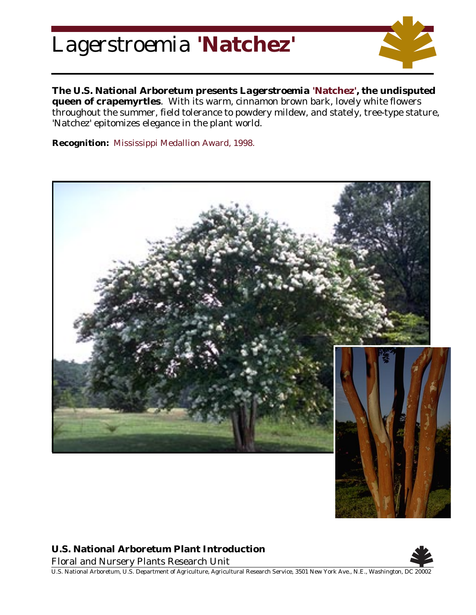## *Lagerstroemia* **'Natchez'**



**The U.S. National Arboretum presents** *Lagerstroemia* **'Natchez', the undisputed queen of crapemyrtles**. With its warm, cinnamon brown bark, lovely white flowers throughout the summer, field tolerance to powdery mildew, and stately, tree-type stature, 'Natchez' epitomizes elegance in the plant world.

**Recognition:** Mississippi Medallion Award, 1998.





## **U.S. National Arboretum Plant Introduction**

Floral and Nursery Plants Research Unit



U.S. National Arboretum, U.S. Department of Agriculture, Agricultural Research Service, 3501 New York Ave., N.E., Washington, DC 20002